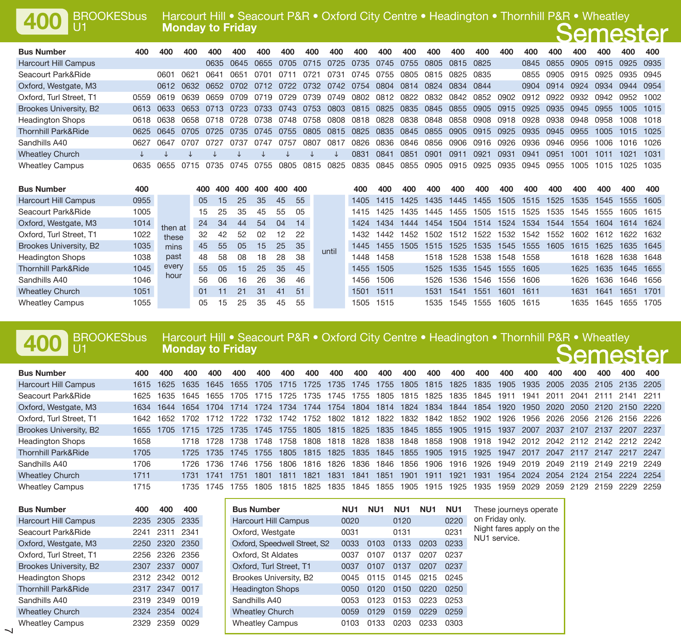**Semester Monday to Friday** BROOKESbusHarcourt Hill • Seacourt P&R • Oxford City Centre • Headington • Thornhill P&R • Wheatley

| <b>Bus Number</b>              | 400  | 400       | 400                                     | 400  | 400  | 400  | 400            | 400  | 400  | 400  | 400  | 400                 | 400                      | 400  | 400  | 400  | 400                 | 400  | 400  | 400  | 400       | 400       |
|--------------------------------|------|-----------|-----------------------------------------|------|------|------|----------------|------|------|------|------|---------------------|--------------------------|------|------|------|---------------------|------|------|------|-----------|-----------|
| Harcourt Hill Campus           |      |           |                                         | 0635 | 0645 |      | 0655 0705 0715 |      | 0725 | 0735 | 0745 | 0755                | 0805                     | 0815 | 0825 |      | 0845                | 0855 | 0905 | 0915 | 0925 0935 |           |
| Seacourt Park&Ride             |      | 0601      | በ62.                                    | 0641 | 0651 | 0701 | 0711           | 0721 | 0731 | 0745 | 0755 | 0805                | 0815                     | 0825 | 0835 |      | 0855                | 0905 | 0915 | 0925 | 0935 0945 |           |
| Oxford, Westgate, M3           |      |           | 0612 0632                               | 0652 | 0702 |      | 0712 0722 0732 |      | 0742 | 0754 | 0804 | 0814                | 0824                     | 0834 | 0844 |      | 0904 0914           |      | 0924 | 0934 | 0944      | 0954      |
| Oxford, Turl Street, T1        | 0559 | 0619      | 0639                                    | 0659 | 0709 | 0719 | 0729           | 0739 | 0749 | 0802 | 0812 | 0822                | 0832                     | 0842 | 0852 | 0902 | 0912                | 0922 | 0932 | 0942 | 0952      | 1002      |
| Brookes University, B2         | 0613 | 0633      | 0653                                    | 0713 | 0723 |      | 0733 0743 0753 |      | 0803 |      |      | 0815 0825 0835 0845 |                          | 0855 | 0905 |      | 0915 0925 0935      |      | 0945 | 0955 |           | 1005 1015 |
| <b>Headington Shops</b>        |      | 0618 0638 | 0658 0718 0728                          |      |      |      | 0738 0748 0758 |      | 0808 | 0818 |      | 0828 0838           | 0848                     | 0858 | 0908 | 0918 | 0928                | 0938 | 0948 | 0958 |           | 1008 1018 |
| <b>Thornhill Park&amp;Ride</b> |      |           | 0625 0645 0705 0725 0735 0745 0755 0805 |      |      |      |                |      |      |      |      |                     | 0815 0825 0835 0845 0855 | 0905 |      |      | 0915 0925 0935 0945 |      | 0955 | 1005 | 1015 1025 |           |
| Sandhills A40                  | 0627 | 0647      | 0707                                    | 0727 | 0737 | 0747 | 0757           | 0807 | 0817 | 0826 | 0836 | 0846                | 0856                     | 0906 | 0916 | 0926 | 0936                | 0946 | 0956 | 1006 | 1016      | 1026      |
| <b>Wheatley Church</b>         |      |           |                                         |      |      |      |                |      |      | 0831 | 0841 | 0851                | 0901                     | 091  | 0921 | 0931 | 0941                | 0951 | 1001 | 1011 | 1021      | 1031      |
| <b>Wheatley Campus</b>         | 0635 | 0655      | 0715                                    | 0735 | 0745 | 0755 | 0805.          | 0815 | 0825 | 0835 | 0845 | 0855                | 0905                     | 0915 | 0925 | 0935 | 0945                | 0955 | 1005 | 1015 | 1025      | 1035      |

| <b>Bus Number</b>              | 400  |         |    | 400 400 400 |    | 400 | 400 | -400 |       | 400  | 400       | 400  | 400  | 400  | 400  | 400  | 400  | 400  | 400  | 400  | 400  | 400  |
|--------------------------------|------|---------|----|-------------|----|-----|-----|------|-------|------|-----------|------|------|------|------|------|------|------|------|------|------|------|
| <b>Harcourt Hill Campus</b>    | 0955 |         | 05 | 15          | 25 | 35  | 45  | 55   |       | 1405 | 1415      | 1425 | 1435 | 1445 | 1455 | 1505 | 1515 | 1525 | 1535 | 1545 | 1555 | 1605 |
| Seacourt Park&Ride             | 1005 |         | 15 | 25          | 35 | 45  | 55  | 05   |       | 1415 | 1425      | 1435 | 1445 | 1455 | 1505 | 1515 | 1525 | 1535 | 1545 | 1555 | 1605 | 1615 |
| Oxford, Westgate, M3           | 1014 | then at | 24 | 34          | 44 | 54  | 04  | 14   |       | 1424 | 1434      | 1444 | 1454 | 1504 | 1514 | 1524 | 1534 | 1544 | 1554 | 1604 | 1614 | 1624 |
| Oxford. Turl Street. T1        | 1022 | these   | 32 | 42          | 52 | 02  | 12  | 22   |       | 1432 | 1442      | 1452 | 1502 | 1512 | 1522 | 1532 | 1542 | 1552 | 1602 | 1612 | 1622 | 1632 |
| Brookes University, B2         | 1035 | mins    | 45 | 55          | 05 | 15  | 25  | -35  | until | 1445 | 1455      | 1505 | 1515 | 1525 | 1535 | 1545 | 1555 | 1605 | 1615 | 1625 | 1635 | 1645 |
| <b>Headington Shops</b>        | 1038 | past    | 48 | 58          | 08 | 18  | 28  | 38   |       |      | 1448 1458 |      | 1518 | 1528 | 1538 | 1548 | 1558 |      | 1618 | 1628 | 1638 | 1648 |
| <b>Thornhill Park&amp;Ride</b> | 1045 | every   | 55 | 05          | 15 | 25  | 35  | 45   |       |      | 1455 1505 |      | 1525 | 1535 | 1545 | 1555 | 1605 |      | 1625 | 1635 | 1645 | 1655 |
| Sandhills A40                  | 1046 | hour    | 56 | 06          | 16 | 26  | 36  | 46   |       |      | 1456 1506 |      | 1526 | 1536 | 1546 | 1556 | 1606 |      | 1626 | 1636 | 1646 | 1656 |
| <b>Wheatley Church</b>         | 1051 |         | 01 | 11          | 21 | 31  | 41  | 51   |       | 1501 | 1511      |      | 1531 | 1541 | 1551 | 1601 | 1611 |      | 1631 | 1641 | 1651 | 1701 |
| <b>Wheatley Campus</b>         | 1055 |         | 05 | 15          | 25 | 35  | 45  | 55   |       |      | 1505 1515 |      | 1535 | 1545 | 1555 | 1605 | 1615 |      | 1635 | 1645 | 1655 | 1705 |

**400** BROOKESbusU1

 $\overline{\phantom{0}}$ 

**400**

U1

**Semester Monday to Friday** Harcourt Hill • Seacourt P&R • Oxford City Centre • Headington • Thornhill P&R • Wheatley

| <b>Bus Number</b>              | 400   | 400  | 400   | 400   | 400       | 400       | 400  | 400  | 400  | 400  | 400       | 400       | 400  | 400  | 400  | 400  | 400  | 400  | 400                      | 400   | 400                                | 400    |
|--------------------------------|-------|------|-------|-------|-----------|-----------|------|------|------|------|-----------|-----------|------|------|------|------|------|------|--------------------------|-------|------------------------------------|--------|
| Harcourt Hill Campus           | 1615  | 1625 | 1635  | 1645  | 1655      | 1705      | 1715 | 1725 | 1735 | 1745 | 1755      | 1805 1815 |      | 1825 | 1835 | 1905 | 1935 | 2005 |                          |       | 2035 2105 2135 2205                |        |
| Seacourt Park&Ride             | 1625. | 1635 | 1645  | 1655  | 1705      | 1715      | 1725 | 1735 | 1745 | 1755 | 1805      | 1815      | 1825 | 1835 | 1845 | 1911 | 1941 | 2011 | 2041                     | -2111 | 2141                               | - 2211 |
| Oxford, Westgate, M3           | 1634  | 1644 | 1654  | 1704  | 1714 1724 |           | 1734 | 1744 | 1754 | 1804 | 1814      | 1824 1834 |      | 1844 | 1854 | 1920 |      |      |                          |       | 1950 2020 2050 2120 2150 2220      |        |
| Oxford. Turl Street. T1        | 1642  | 1652 | 1702  | 1712  | 1722      | 1732      | 1742 | 1752 | 1802 | 1812 | 1822      | 1832 1842 |      | 1852 | 1902 | 1926 | 1956 | 2026 |                          |       | 2056 2126 2156 2226                |        |
| Brookes University, B2         | 1655  | 1705 | 1715  | 1725  |           | 1735 1745 | 1755 | 1805 | 1815 | 1825 | 1835      | 1845 1855 |      | 1905 | 1915 | 1937 | 2007 | 2037 | 2107                     | 2137  | 2207 2237                          |        |
| Headington Shops               | 1658  |      | 1718  | 1728  | 1738      | 1748      | 1758 | 1808 | 1818 | 1828 | 1838      | 1848      | 1858 | 1908 | 1918 |      |      |      |                          |       | 1942 2012 2042 2112 2142 2212 2242 |        |
| <b>Thornhill Park&amp;Ride</b> | 1705  |      | 1725  | -1735 | 1745      | 1755      | 1805 | 1815 | 1825 |      | 1835 1845 | 1855 1905 |      | 1915 | 1925 | 1947 | 2017 | 2047 |                          |       | 2117 2147 2217 2247                |        |
| Sandhills A40                  | 1706  |      | 1726. | 1736  | 1746      | 1756      | 1806 | 1816 | 1826 | 1836 | 1846      | 1856      | 1906 | 1916 | 1926 |      |      |      | 1949 2019 2049 2119 2149 |       | 2219 2249                          |        |
| <b>Wheatley Church</b>         | 1711  |      | 1731  | -1741 | 1751      | 1801      | 1811 | 1821 | 1831 | 1841 | 1851      | 1901      | 1911 | 1921 | 1931 | 1954 | 2024 |      |                          |       | 2054 2124 2154 2224 2254           |        |
| <b>Wheatley Campus</b>         | 1715  |      | 1735  | 1745  | 1755      | 1805      | 1815 | 1825 | 1835 | 1845 | 1855      | 1905      | 1915 | 1925 | 1935 | 1959 | 2029 | 2059 | 2129                     | 2159  | 2229 2259                          |        |

| <b>Bus Number</b>              | 400  | 400       | 400            | <b>Bus Number</b>            | NU <sub>1</sub> | NU1  | NU <sub>1</sub> | NU <sub>1</sub> | NU <sub>1</sub> |  |
|--------------------------------|------|-----------|----------------|------------------------------|-----------------|------|-----------------|-----------------|-----------------|--|
| Harcourt Hill Campus           | 2235 | 2305      | 2335           | <b>Harcourt Hill Campus</b>  | 0020            |      | 0120            |                 | 0220            |  |
| Seacourt Park&Ride             | 2241 | 2311      | 2341           | Oxford, Westgate             | 0031            |      | 0131            |                 | 0231            |  |
| Oxford, Westgate, M3           | 2250 | 2320      | 2350           | Oxford, Speedwell Street, S2 | 0033            | 0103 | 0133            | 0203            | 0233            |  |
| Oxford. Turl Street. T1        | 2256 | 2326      | 2356           | Oxford, St Aldates           | 0037            | 0107 | 0137            | 0207            | 0237            |  |
| Brookes University, B2         | 2307 | 2337      | 0007           | Oxford. Turl Street. T1      | 0037            | 0107 | 0137            | 0207            | 0237            |  |
| <b>Headington Shops</b>        |      |           | 2312 2342 0012 | Brookes University, B2       | 0045            | 0115 | 0145            | 0215            | 0245            |  |
| <b>Thornhill Park&amp;Ride</b> |      | 2317 2347 | 0017           | <b>Headington Shops</b>      | 0050            | 0120 | 0150            | 0220            | 0250            |  |
| Sandhills A40                  | 2319 | 2349      | 0019           | Sandhills A40                | 0053            | 0123 | 0153            | 0223            | 0253            |  |
| <b>Wheatley Church</b>         | 2324 | 2354      | 0024           | <b>Wheatley Church</b>       | 0059            | 0129 | 0159            | 0229            | 0259            |  |
| <b>Wheatley Campus</b>         | 2329 | 2359      | 0029           | <b>Wheatley Campus</b>       | 0103            | 0133 | 0203            | 0233            | 0303            |  |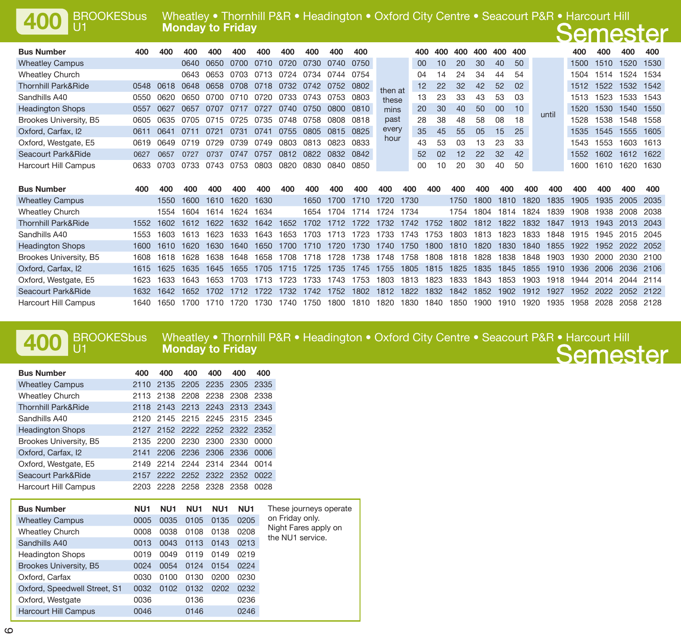**400Semester Monday to Friday** BROOKESbus Wheatley • Thornhill P&R • Headington • Oxford City Centre • Seacourt P&R • Harcourt Hill U1

| <b>Bus Number</b>              | 400  | 400  | 400  | 400  | 400  | 400  | 400  | 400  | 400       | 400  |         | 400             | 400            | 400 | 400 | 400 400 |    |       | 400  | 400  | 400  | 400  |
|--------------------------------|------|------|------|------|------|------|------|------|-----------|------|---------|-----------------|----------------|-----|-----|---------|----|-------|------|------|------|------|
| <b>Wheatley Campus</b>         |      |      | 0640 | 0650 | 0700 | 0710 | 0720 | 0730 | 0740      | 0750 |         | $00 \,$         | 10             | 20  | 30  | 40      | 50 |       | 1500 | 1510 | 1520 | 1530 |
| <b>Wheatley Church</b>         |      |      | 0643 | 0653 | 0703 | 0713 | 0724 | 0734 | 0744      | 0754 |         | 04              | 14             | 24  | 34  | 44      | 54 |       | 1504 | 1514 | 1524 | 1534 |
| <b>Thornhill Park&amp;Ride</b> | 0548 | 0618 | 0648 | 0658 | 0708 | 0718 | 0732 | 0742 | 0752      | 0802 | then at | 12 <sup>2</sup> | 22             | 32  | 42  | 52      | 02 |       | 1512 | 1522 | 1532 | 1542 |
| Sandhills A40                  | 0550 | กลวก | 0650 | 0700 | 0710 | 0720 | 0733 | 0743 | 0753 0803 |      | these   | 13              | 23             | 33  | 43  | 53      | 03 |       | 1513 | 1523 | 1533 | 1543 |
| <b>Headington Shops</b>        | 0557 | 0627 | 0657 | 0707 | 0717 | 0727 | 0740 | 0750 | 0800      | 0810 | mins    | 20              | 30             | 40  | 50  | 00      | 10 |       | 1520 | 1530 | 1540 | 1550 |
| Brookes University, B5         | 0605 | 0635 | 0705 | 0715 | 0725 | 0735 | 0748 | 0758 | 0808      | 0818 | past    | 28              | 38             | 48  | 58  | 08      | 18 | until | 1528 | 1538 | 1548 | 1558 |
| Oxford, Carfax, I2             | 0611 | 0641 | 0711 | 0721 | 0731 | 0741 | 0755 | 0805 | 0815      | 0825 | every   | 35              | 45             | 55  | 05  | 15      | 25 |       | 1535 | 1545 | 1555 | 1605 |
| Oxford, Westgate, E5           | 0619 | 0649 | 0719 | 0729 | 0739 | 0749 | 0803 | 0813 | 0823      | 0833 | hour    | 43              | 53             | 03  | 13  | 23      | 33 |       | 1543 | 1553 | 1603 | 1613 |
| Seacourt Park&Ride             | 0627 | 0657 | 0727 | 0737 | 0747 | 0757 | 0812 | 0822 | 0832      | 0842 |         | 52              | 0 <sup>2</sup> | 12  | 22  | 32      | 42 |       | 1552 | 1602 | 1612 | 1622 |
| Harcourt Hill Campus           | 0633 | 0703 | 0733 | 0743 | 0753 | 0803 | 0820 | 0830 | 0840      | 0850 |         | 00              | 10             | 20  | 30  | 40      | 50 |       | 1600 | 1610 | 1620 | 1630 |

| <b>Bus Number</b>              | 400   | 400            | 400  | 400                      | 400       | 400  | 400       | 400       | 400  | 400  | 400       | 400                      | 400  | 400   | 400  | 400                      | 400            | 400  | 400  | 400  | 400            | 400 |
|--------------------------------|-------|----------------|------|--------------------------|-----------|------|-----------|-----------|------|------|-----------|--------------------------|------|-------|------|--------------------------|----------------|------|------|------|----------------|-----|
| <b>Wheatley Campus</b>         |       | 1550           | 1600 | 1610                     | 1620      | 1630 |           | 1650      | 1700 | 1710 | 1720      | 1730                     |      | 1750. | 1800 | 1810                     | 1820           | 1835 | 1905 | 1935 | 2005 2035      |     |
| <b>Wheatley Church</b>         |       | 1554           | 1604 | 1614                     | 1624      | 1634 |           | 1654      | 1704 | 1714 | 1724      | 1734                     |      | 1754  | 1804 | 1814                     | 1824           | 1839 | 1908 | 1938 | 2008 2038      |     |
| <b>Thornhill Park&amp;Ride</b> | 1552  | 1602 1612      |      | 1622                     | 1632 1642 |      | 1652      | 1702      | 1712 |      | 1722 1732 | 1742 1752                |      | 1802  | 1812 |                          | 1822 1832 1847 |      | 1913 |      | 1943 2013 2043 |     |
| Sandhills A40                  | 1553  | 1603           | 1613 | 1623                     | 1633      | 1643 | 1653      | 1703      | 1713 |      | 1723 1733 | 1743 1753                |      | 1803  | 1813 | 1823                     | 1833           | 1848 | 1915 | 1945 | 2015 2045      |     |
| <b>Headington Shops</b>        |       | 1600 1610      | 1620 | 1630                     | 1640      | 1650 | 1700 1710 |           | 1720 |      | 1730 1740 | 1750 1800                |      | 1810  | 1820 | 1830                     | 1840 1855 1922 |      |      |      | 1952 2022 2052 |     |
| Brookes University, B5         | 1608. | 1618           | 1628 | 1638                     | 1648      | 1658 | 1708      | 1718 1728 |      |      | 1738 1748 | 1758 1808                |      | 1818  | 1828 | 1838                     | 1848           | 1903 | 1930 | 2000 | 2030 2100      |     |
| Oxford, Carfax, I2             |       | 1615 1625 1635 |      | 1645 1655 1705 1715 1725 |           |      |           |           |      |      |           | 1735 1745 1755 1805 1815 |      | 1825  |      | 1835 1845 1855 1910 1936 |                |      |      |      | 2006 2036 2106 |     |
| Oxford, Westgate, E5           | 1623. | 1633           | 1643 | 1653                     | 1703 1713 |      | 1723      | 1733      | 1743 | 1753 | 1803      | 1813 1823                |      | 1833  | 1843 | 1853                     | 1903           | 1918 | 1944 |      | 2014 2044 2114 |     |
| Seacourt Park&Ride             | 1632  | 1642 1652      |      | 1702                     | 1712      | 1722 | 1732      | 1742      | 1752 | 1802 | 1812      | 1822 1832                |      | 1842  | 1852 | 1902                     | 1912           | 1927 | 1952 |      | 2022 2052 2122 |     |
| Harcourt Hill Campus           | 1640- | 1650           | 1700 | 1710                     | 1720      | 1730 | 1740.     | 1750      | 1800 | 1810 | 1820      | 1830                     | 1840 | 1850  | 1900 | 1910                     | 1920           | 1935 | 1958 | 2028 | 2058 2128      |     |

## **400** BROOKESbus Wheatley • Thornhill P&R • Headington • Oxford City Centre • Seacourt P&R • Harcourt Hill U1

| TUU III                        |      |           | <b>Monday to Friday</b>       |     |                |     |
|--------------------------------|------|-----------|-------------------------------|-----|----------------|-----|
| <b>Bus Number</b>              | 400  | 400       | 400                           | 400 | 400            | 400 |
| <b>Wheatley Campus</b>         |      | 2110 2135 | 2205                          |     | 2235 2305 2335 |     |
| Wheatley Church                |      | 2113 2138 | 2208                          |     | 2238 2308 2338 |     |
| <b>Thornhill Park&amp;Ride</b> |      |           | 2118 2143 2213 2243 2313 2343 |     |                |     |
| Sandhills A40                  |      |           | 2120 2145 2215 2245 2315 2345 |     |                |     |
| <b>Headington Shops</b>        |      |           | 2127 2152 2222 2252 2322 2352 |     |                |     |
| Brookes University, B5         |      | 2135 2200 | 2230                          |     | 2300 2330 0000 |     |
| Oxford, Carfax, I2             |      | 2141 2206 | 2236 2306 2336 0006           |     |                |     |
| Oxford, Westgate, E5           |      | 2149 2214 | 2244 2314 2344 0014           |     |                |     |
| Seacourt Park&Ride             |      |           | 2157 2222 2252 2322 2352 0022 |     |                |     |
| Harcourt Hill Campus           | 2203 | 2228      | 2258                          |     | 2328 2358 0028 |     |

| <b>Bus Number</b>            | NU1  | NU <sub>1</sub> | NU1  | NU <sub>1</sub> | NU1  | These journeys operate                   |
|------------------------------|------|-----------------|------|-----------------|------|------------------------------------------|
| <b>Wheatley Campus</b>       | 0005 | 0035            | 0105 | 0135            | 0205 | on Friday only.                          |
| <b>Wheatley Church</b>       | 0008 | 0038            | 0108 | 0138            | 0208 | Night Fares apply on<br>the NU1 service. |
| Sandhills A40                | 0013 | 0043            | 0113 | 0143            | 0213 |                                          |
| <b>Headington Shops</b>      | 0019 | 0049            | 0119 | 0149            | 0219 |                                          |
| Brookes University, B5       | 0024 | 0054            | 0124 | 0154            | 0224 |                                          |
| Oxford, Carfax               | 0030 | 0100            | 0130 | 0200            | 0230 |                                          |
| Oxford, Speedwell Street, S1 | 0032 | 0102            | 0132 | 0202            | 0232 |                                          |
| Oxford, Westgate             | 0036 |                 | 0136 |                 | 0236 |                                          |
| <b>Harcourt Hill Campus</b>  | 0046 |                 | 0146 |                 | 0246 |                                          |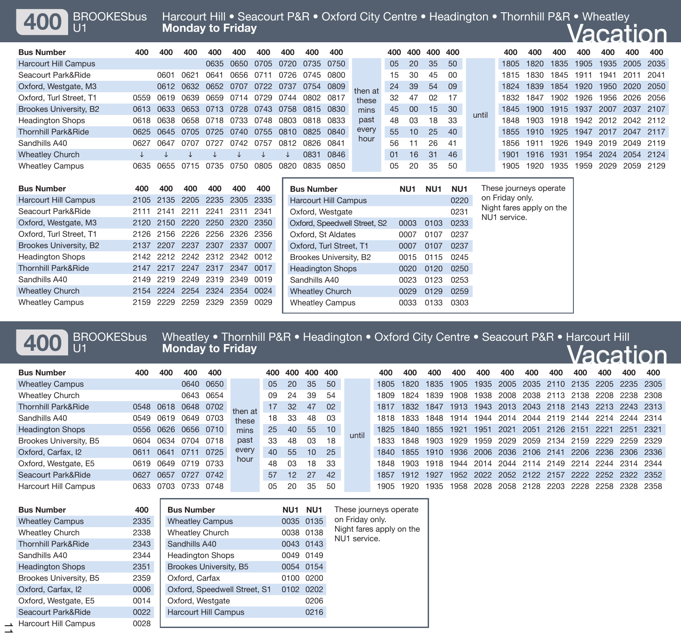**400** BROOKESbusU1

Vacation**Monday to Friday** Harcourt Hill • Seacourt P&R • Oxford City Centre • Headington • Thornhill P&R • Wheatley

| <b>Bus Number</b>              | 400       | 400  | 400  | 400  | 400  | 400  | 400         | 400         | 400  |         | 400 |    | 400 400 400 |     |       | 400  | 400  | 400  | 400  | 400  | 400       | 400  |
|--------------------------------|-----------|------|------|------|------|------|-------------|-------------|------|---------|-----|----|-------------|-----|-------|------|------|------|------|------|-----------|------|
| Harcourt Hill Campus           |           |      |      | 0635 | 0650 | 0705 | 0720        | 0735        | 0750 |         | 05  | 20 | 35          | -50 |       | 1805 | 1820 | 1835 | 1905 | 1935 | 2005 2035 |      |
| Seacourt Park&Ride             |           | 060  | 0621 | 0641 | 0656 | 071' | 0726        | 0745        | 0800 |         | 15  | 30 | 45          | ററ  |       | 1815 | 1830 | 1845 | 1911 | 1941 | 2011      | 2041 |
| Oxford, Westgate, M3           |           | 0612 | 0632 | 0652 | 0707 | 0722 | 0737        | 0754        | 0809 | then at | 24  | 39 | 54          | 09  |       | 1824 | 1839 | 1854 | 1920 | 1950 | 2020 2050 |      |
| Oxford. Turl Street. T1        | 0559      | 0619 | 0639 | 0659 | 0714 | 0729 | 0744        | 0802        | 0817 | these   | 32  | 47 | 02          |     |       | 1832 | 1847 | 1902 | 1926 | 1956 | 2026 2056 |      |
| Brookes University, B2         | 0613      | 0633 | 0653 | 0713 | 0728 | 0743 | 0758        | 0815 0830   |      | mins    | 45  | 00 | 15          | 30  |       | 1845 | 1900 | 1915 | 1937 | 2007 | 2037 2107 |      |
| <b>Headington Shops</b>        | 0618      | 0638 | 0658 | 0718 | 0733 | 0748 | <b>0803</b> | 0818        | 0833 | past    | 48  | 03 | 18          | -33 | until | 1848 | 903  | 1918 | 1942 | 2012 | 2042 2112 |      |
| <b>Thornhill Park&amp;Ride</b> | 0625 0645 |      | 0705 | 0725 | 0740 | 0755 | 0810        | 0825        | 0840 | every   | 55  | 10 | 25          | 40  |       | 1855 | 1910 | 1925 | 1947 | 2017 | 2047      | 2117 |
| Sandhills A40                  | 0627      | 0647 | 0707 | 0727 | 0742 | 0757 | 0812        | <b>0826</b> | 0841 | hour    | 56  | 11 | 26          | -41 |       | 1856 | 1911 | 1926 | 1949 | 2019 | 2049      | 2119 |
| <b>Wheatley Church</b>         |           |      |      |      |      |      |             | 0831        | 0846 |         | 01  | 16 | 31          | 46  |       | 1901 | 1916 | 1931 | 1954 | 2024 | 2054 2124 |      |
| <b>Wheatley Campus</b>         | 0635      | 0655 | 0715 | 0735 | 0750 | 0805 | 0820        | 0835        | 0850 |         | 05  | 20 | 35          | 50  |       | 1905 | 1920 | 1935 | 1959 | 2029 | 2059      | 2129 |

| <b>Bus Number</b>              | 400  | 400  | 400                      | 400  | 400  | 400  |
|--------------------------------|------|------|--------------------------|------|------|------|
| <b>Harcourt Hill Campus</b>    | 2105 |      | 2135 2205 2235 2305      |      |      | 2335 |
| Seacourt Park&Ride             | 2111 | 2141 | 2211                     | 2241 | 2311 | 2341 |
| Oxford, Westgate, M3           | 2120 | 2150 | - 2220                   | 2250 | 2320 | 2350 |
| Oxford, Turl Street, T1        | 2126 |      | 2156 2226 2256 2326      |      |      | 2356 |
| Brookes University, B2         | 2137 | 2207 | 2237                     | 2307 | 2337 | 0007 |
| <b>Headington Shops</b>        |      |      | 2142 2212 2242 2312 2342 |      |      | 0012 |
| <b>Thornhill Park&amp;Ride</b> | 2147 | 2217 | 2247 2317                |      | 2347 | 0017 |
| Sandhills A40                  | 2149 | 2219 | 2249                     | 2319 | 2349 | 0019 |
| <b>Wheatley Church</b>         | 2154 | 2224 | 2254                     | 2324 | 2354 | 0024 |
| <b>Wheatley Campus</b>         | 2159 | 2229 | 2259                     | 2329 | 2359 | 0029 |

| <b>Bus Number</b>            | NU <sub>1</sub> | NU <sub>1</sub> | NU <sub>1</sub> | These journeys operate                   |
|------------------------------|-----------------|-----------------|-----------------|------------------------------------------|
| <b>Harcourt Hill Campus</b>  |                 |                 | 0220            | on Friday only.                          |
| Oxford, Westgate             |                 |                 | 0231            | Night fares apply on the<br>NU1 service. |
| Oxford, Speedwell Street, S2 | 0003            | 0103            | 0233            |                                          |
| Oxford, St Aldates           | 0007            | 0107            | 0237            |                                          |
| Oxford, Turl Street, T1      | 0007            | 0107            | 0237            |                                          |
| Brookes University, B2       | 0015            | 0115            | 0245            |                                          |
| <b>Headington Shops</b>      | 0020            | 0120            | 0250            |                                          |
| Sandhills A40                | 0023            | 0123            | 0253            |                                          |
| <b>Wheatley Church</b>       | 0029            | 0129            | 0259            |                                          |
| <b>Wheatley Campus</b>       | 0033            | 0133            | 0303            |                                          |

400 BROOKESbus U1

**Monday • Thornhill P&R • Headington • Oxford City Centre • Seacourt P&R • Harcourt Hill <b>400** U1 **Monday to Friday** Vacation

|                                |      |           |                   |      |         |     |     |                 |     |                        |      |      |      |      |      |           |      |           |      |                |           | 'AC LUI CHULUI I |
|--------------------------------|------|-----------|-------------------|------|---------|-----|-----|-----------------|-----|------------------------|------|------|------|------|------|-----------|------|-----------|------|----------------|-----------|------------------|
| <b>Bus Number</b>              | 400  | 400       | 400               | 400  |         | 400 | 400 | 400             | 400 |                        | 400  | 400  | 400  | 400  | 400  | 400       | 400  | 400       | 400  | 400            | 400       | 400              |
| <b>Wheatley Campus</b>         |      |           | 0640              | 0650 |         | 05  | 20  | 35              | 50  |                        | 1805 | 1820 | 1835 | 1905 | 1935 | 2005 2035 |      | 2110      | 2135 | 2205           | 2235 2305 |                  |
| <b>Wheatley Church</b>         |      |           | 0643              | 0654 |         | 09  | 24  | 39              | -54 |                        | 1809 | 1824 | 1839 | 1908 | 1938 | 2008 2038 |      | 2113 2138 |      | 2208           | 2238 2308 |                  |
| <b>Thornhill Park&amp;Ride</b> |      | 0548 0618 | 0648              | 0702 | then at | 17  | 32  | 47              | 02  |                        | 1817 | 1832 | 1847 | 1913 | 1943 | 2013 2043 |      | 2118 2143 |      | 2213           | 2243 2313 |                  |
| Sandhills A40                  | 0549 | 0619      | 0649              | 0703 | these   | 18  | 33  | 48              | 03  |                        | 1818 | 1833 | 1848 | 1914 | 1944 | 2014      | 2044 | 2119 2144 |      | 2214           | 2244 2314 |                  |
| <b>Headington Shops</b>        |      | 0556 0626 | 0656 0710         |      | mins    | 25  | 40  | 55              | 10  | until                  | 1825 | 1840 | 1855 | 1921 | 1951 | 2021      | 2051 | 2126 2151 |      | 2221           | 2251      | 2321             |
| Brookes University, B5         | 0604 | 0634      | 0704              | 0718 | past    | 33  | 48  | 03              | 18  |                        | 1833 | 1848 | 1903 | 1929 | 1959 | 2029      | 2059 | 2134      | 2159 | 2229           | 2259 2329 |                  |
| Oxford, Carfax, I2             | 0611 | 0641      | 0711              | 0725 | every   | 40  | 55  | 10              | 25  |                        | 1840 | 1855 | 1910 | 1936 | 2006 | 2036 2106 |      | 2141      | 2206 | 2236           | 2306 2336 |                  |
| Oxford, Westgate, E5           |      | 0619 0649 | 0719              | 0733 | hour    | 48  | 03  | 18              | 33  |                        | 1848 | 1903 | 1918 | 1944 | 2014 | 2044      | 2114 | 2149      | 2214 | 2244           | 2314 2344 |                  |
| Seacourt Park&Ride             | 0627 | 0657      | 0727              | 0742 |         | 57  | 12  | 27              | 42  |                        | 1857 | 1912 | 1927 | 1952 | 2022 | 2052 2122 |      | 2157      | 2222 | 2252 2322 2352 |           |                  |
| Harcourt Hill Campus           |      | 0633 0703 | 0733 0748         |      |         | 05  | 20  | 35              | 50  |                        | 1905 | 1920 | 1935 | 1958 | 2028 | 2058 2128 |      | 2203      | 2228 | 2258           | 2328 2358 |                  |
|                                |      |           |                   |      |         |     |     |                 |     |                        |      |      |      |      |      |           |      |           |      |                |           |                  |
| <b>Bus Number</b>              | 400  |           | <b>Bus Number</b> |      |         |     | NU1 | NU <sub>1</sub> |     | These journeys operate |      |      |      |      |      |           |      |           |      |                |           |                  |

|  | <b>Bus Number</b>              | 400  | <b>Bus Number</b>            | NU <sub>1</sub> | NU <sub>1</sub> | These journeys operate                   |
|--|--------------------------------|------|------------------------------|-----------------|-----------------|------------------------------------------|
|  | <b>Wheatley Campus</b>         | 2335 | <b>Wheatley Campus</b>       |                 | 0035 0135       | on Friday only.                          |
|  | <b>Wheatley Church</b>         | 2338 | <b>Wheatley Church</b>       |                 | 0038 0138       | Night fares apply on the<br>NU1 service. |
|  | <b>Thornhill Park&amp;Ride</b> | 2343 | Sandhills A40                |                 | 0043 0143       |                                          |
|  | Sandhills A40                  | 2344 | <b>Headington Shops</b>      |                 | 0049 0149       |                                          |
|  | <b>Headington Shops</b>        | 2351 | Brookes University, B5       |                 | 0054 0154       |                                          |
|  | Brookes University, B5         | 2359 | Oxford, Carfax               |                 | 0100 0200       |                                          |
|  | Oxford, Carfax, I2             | 0006 | Oxford, Speedwell Street, S1 |                 | 0102 0202       |                                          |
|  | Oxford, Westgate, E5           | 0014 | Oxford, Westgate             |                 | 0206            |                                          |
|  | Seacourt Park&Ride             | 0022 | <b>Harcourt Hill Campus</b>  |                 | 0216            |                                          |
|  | Harcourt Hill Campus           | 0028 |                              |                 |                 |                                          |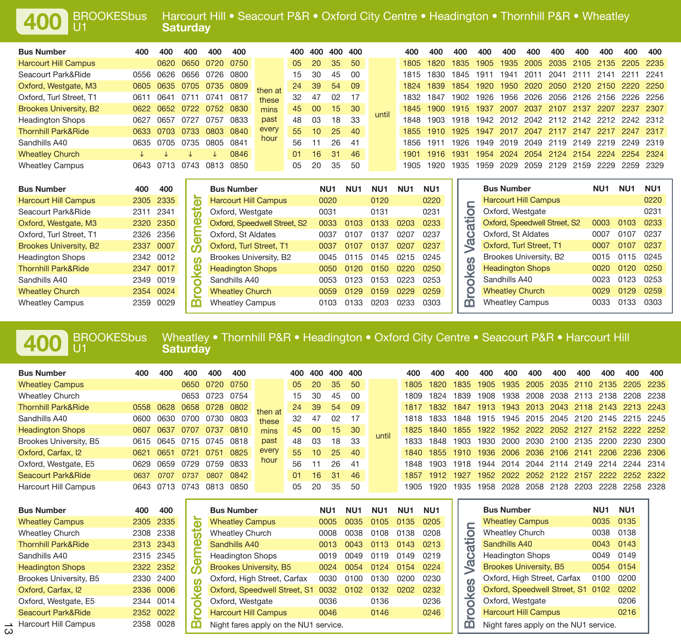**400**BROOKESbusU1

## **Saturday** Harcourt Hill • Seacourt P&R • Oxford City Centre • Headington • Thornhill P&R • Wheatley

| <b>Bus Number</b>              | 400       | 400            | 400  | 400       | 400  |         | 400            | 400 | 400 400          |      |       | 400  | 400  | 400  | 400  | 400  | 400       | 400  | 400       | 400                 | 400                                     | 400  |
|--------------------------------|-----------|----------------|------|-----------|------|---------|----------------|-----|------------------|------|-------|------|------|------|------|------|-----------|------|-----------|---------------------|-----------------------------------------|------|
| <b>Harcourt Hill Campus</b>    |           | 0620           | 0650 | 0720      | 0750 |         | 0 <sub>5</sub> | 20  | 35               | -50  |       | 1805 | 1820 | 1835 | 1905 | 1935 | 2005 2035 |      | 2105      | 2135                | 2205 2235                               |      |
| Seacourt Park&Ride             | 0556      | 0626           | 0656 | 0726      | 0800 |         | 15             | 30  | 45               | -00  | 1815  | 1830 | 1845 | 1911 | 1941 | 2011 | 2041      | 2111 | 2141      | 2211                | - 2241                                  |      |
| Oxford, Westgate, M3           | 0605      | 0635           | 0705 | 0735 0809 |      | then at | 24             | 39  | 54               | - 09 |       | 1824 | 1839 | 1854 | 1920 | 1950 | 2020      | 2050 | 2120 2150 |                     | 2220 2250                               |      |
| Oxford, Turl Street, T1        | 0611 0641 |                | 0711 | 0741 0817 |      | these   | 32             | 47  | 02               | - 17 | 1832  | 1847 | 1902 | 1926 | 1956 | 2026 | 2056      | 2126 | 2156      | 2226 2256           |                                         |      |
| <b>Brookes University, B2</b>  |           | 0622 0652 0722 |      | 0752 0830 |      | mins    | 45             | 00  | 15 <sup>15</sup> | -30  | until | 1845 | 1900 | 1915 | 1937 | 2007 | 2037 2107 |      | 2137      | 2207                | 2237 2307                               |      |
| <b>Headington Shops</b>        | 0627      | 0657           | 0727 | 0757      | 0833 | past    | 48             | 03  | 18               | -33  |       | 1848 | 1903 | 1918 |      |      |           |      |           |                     | 1942 2012 2042 2112 2142 2212 2242 2312 |      |
| <b>Thornhill Park&amp;Ride</b> | 0633 0703 |                | 0733 | 0803 0840 |      | every   | 55             | 10  | 25               | 40   |       | 1855 | 1910 | 1925 | 1947 | 2017 | 2047      | 2117 | 2147      | 2217                | 2247 2317                               |      |
| Sandhills A40                  | 0635      | 0705           | 0735 | 0805      | 0841 | hour    | 56             |     | 26               | -41  |       | 1856 | 1911 | 1926 | 1949 | 2019 | 2049      | 2119 | 2149      | 2219                | 2249 2319                               |      |
| <b>Wheatley Church</b>         |           |                |      |           | 0846 |         | .01            | 16  | 31               | 46   |       | 1901 | 1916 | 1931 | 1954 | 2024 |           |      |           | 2054 2124 2154 2224 | 2254 2324                               |      |
| <b>Wheatley Campus</b>         | 0643 0713 |                | 0743 | 0813      | 0850 |         | 05             | 20  | 35               | -50  |       | 1905 | 1920 | 1935 | 1959 | 2029 | 2059      | 2129 | 2159      | 2229                | 2259                                    | 2329 |

| <b>Bus Number</b>              | 400  | 400       | <b>Bus Number</b>            | NU1  | NU <sup>.</sup> | NU <sub>1</sub> | NU1  | NU <sub>1</sub> |   | <b>Bus Number</b>            | NU1  | NU <sub>1</sub> | NU <sub>1</sub> |
|--------------------------------|------|-----------|------------------------------|------|-----------------|-----------------|------|-----------------|---|------------------------------|------|-----------------|-----------------|
| <b>Harcourt Hill Campus</b>    |      | 2305 2335 | <b>Harcourt Hill Campus</b>  | 0020 |                 | 0120            |      | 0220            |   | <b>Harcourt Hill Campus</b>  |      |                 | 0220            |
| Seacourt Park&Ride             | 2311 | 2341      | Oxford, Westgate             | 0031 |                 | 0131            |      | 0231            |   | Oxford, Westgate             |      |                 | 0231            |
| Oxford, Westgate, M3           |      | 2320 2350 | Oxford, Speedwell Street, S2 | 0033 | 0103            | 0133            | 0203 | 0233            |   | Oxford, Speedwell Street, S2 | 0003 | 0103            | 0233            |
| Oxford, Turl Street, T1        |      | 2326 2356 | Oxford, St Aldates           | 0037 | 0107            | 0137            | 0207 | 0237            |   | Oxford, St Aldates           | 0007 | 0107            | 0237            |
| <b>Brookes University, B2</b>  |      | 2337 0007 | Oxford, Turl Street, T1      | 0037 | 0107            | 0137            | 0207 | 0237            |   | Oxford, Turl Street, T1      | 0007 | 0107            | 0237            |
| <b>Headington Shops</b>        |      | 2342 0012 | Brookes University, B2       | 0045 | 0115            | 0145            | 0215 | 0245            |   | Brookes University, B2       | 0015 | 0115            | 0245            |
| <b>Thornhill Park&amp;Ride</b> |      | 2347 0017 | <b>Headington Shops</b>      | 0050 | 0120            | 0150            | 0220 | 0250            | Œ | <b>Headington Shops</b>      | 0020 | 0120            | 0250            |
| Sandhills A40                  |      | 2349 0019 | Sandhills A40                | 0053 | 0123            | 0153            | 0223 | 0253            |   | Sandhills A40                | 0023 | 0123            | 0253            |
| <b>Wheatley Church</b>         |      | 2354 0024 | <b>Wheatley Church</b>       | 0059 | 0129            | 0159            | 0229 | 0259            |   | <b>Wheatley Church</b>       | 0029 | 0129            | 0259            |
| <b>Wheatley Campus</b>         | 2359 | 0029      | <b>Wheatley Campus</b>       | 0103 | 0133            | 0203            | 0233 | 0303            | m | <b>Wheatley Campus</b>       | 0033 | 0133            | 0303            |

**400** BROOKESbusU1

**Saturday** Wheatley • Thornhill P&R • Headington • Oxford City Centre • Seacourt P&R • Harcourt Hill

 **NU1 NU1 NU1**  0220

 0123 0253 0129 0259

| <b>Bus Number</b>              | 400  | 400  | 400          | 400            | 400                     |                                       | 400 | 400  | 400                  | 400             |                 |                 | 400  | 400             | 400  |              | 400                     | 400                    | 400                                   | 400                               | 400  | 400             | 400             | 400  |
|--------------------------------|------|------|--------------|----------------|-------------------------|---------------------------------------|-----|------|----------------------|-----------------|-----------------|-----------------|------|-----------------|------|--------------|-------------------------|------------------------|---------------------------------------|-----------------------------------|------|-----------------|-----------------|------|
| <b>Wheatley Campus</b>         |      |      | 0650         | 0720           | 0750                    |                                       | 05  | 20   | 35                   | 50              |                 |                 | 1805 | 1820            | 1835 |              | 1905                    | 1935                   | 2005                                  | 2035                              |      | 2110 2135       | 2205            | 2235 |
| <b>Wheatley Church</b>         |      |      |              | 0653 0723 0754 |                         |                                       | 15  | 30   | 45                   | 00              |                 |                 | 1809 | 1824            | 1839 |              | 1908                    | 1938                   | 2008                                  | 2038                              |      | 2113 2138       | 2208            | 2238 |
| <b>Thornhill Park&amp;Ride</b> | 0558 | 0628 | 0658         | 0728           | 0802                    | then at                               | 24  | 39   | 54                   | 09              |                 |                 | 1817 | 1832            | 1847 |              | 1913                    | 1943                   | 2013                                  | 2043                              | 2118 | 2143            | 2213            | 2243 |
| Sandhills A40                  | 0600 | 0630 | 0700         | 0730           | 0803                    | these                                 | 32  | 47   | 02                   | 17              |                 |                 | 1818 | 1833            | 1848 |              | 1915                    | 1945                   | 2015                                  | 2045                              | 2120 | 2145            | 2215            | 2245 |
| <b>Headington Shops</b>        | 0607 | 0637 | 0707         | 0737           | 0810                    | mins                                  | 45  | 00   | 15                   | 30              |                 |                 | 1825 | 1840            | 1855 |              | 1922                    | 1952                   | 2022                                  | 2052                              | 2127 | 2152            |                 | 2252 |
| Brookes University, B5         | 0615 | 0645 | 0715         | 0745           | 0818                    | past                                  | 48  | 03   | 18                   | 33              | until           |                 | 1833 | 1848            | 1903 |              | 1930                    | 2000                   | 2030                                  | 2100                              | 2135 | 2200            | 2230            | 2300 |
| Oxford, Carfax, I2             | 0621 | 0651 | 0721         | 0751           | 0825                    | every                                 | 55  | 10   | 25                   | 40              |                 |                 | 1840 | 1855            | 1910 |              | 1936                    | 2006                   | 2036                                  | 2106                              | 2141 | 2206            | 2236            | 2306 |
| Oxford, Westgate, E5           | 0629 | 0659 | 0729         | 0759           | 0833                    | hour                                  | 56  | 11   | 26                   | 41              |                 |                 | 1848 | 1903            | 1918 |              | 1944                    | 2014                   | 2044                                  | 2114                              | 2149 | 2214            | 2244            | 2314 |
| Seacourt Park&Ride             | 0637 | 0707 | 0737         | 0807           | 0842                    |                                       | 01  | 16   | 31                   | 46              |                 |                 | 1857 | 1912            | 1927 |              | 1952                    | 2022                   | 2052                                  | 2122                              | 2157 | 2222            | 2252            | 2322 |
| Harcourt Hill Campus           | 0643 | 0713 | 0743         | 0813           | 0850                    |                                       | 05  | 20   | 35                   | 50              |                 |                 | 1905 | 1920            | 1935 |              | 1958                    | 2028                   | 2058                                  | 2128                              | 2203 | 2228            | 2258            | 2328 |
|                                |      |      |              |                |                         |                                       |     |      |                      |                 |                 |                 |      |                 |      |              |                         |                        |                                       |                                   |      |                 |                 |      |
| <b>Bus Number</b>              | 400  | 400  |              |                | <b>Bus Number</b>       |                                       |     |      | NU <sub>1</sub>      | NU <sub>1</sub> | NU <sub>1</sub> | NU <sub>1</sub> |      | NU <sub>1</sub> |      |              |                         | <b>Bus Number</b>      |                                       |                                   |      | NU <sub>1</sub> | NU <sub>1</sub> |      |
| <b>Wheatley Campus</b>         | 2305 | 2335 | $\sigma$     |                | <b>Wheatley Campus</b>  |                                       |     |      | 0005                 | 0035            | 0105            |                 | 0135 | 0205            |      | c            | <b>Wheatley Campus</b>  |                        |                                       | 0035                              | 0135 |                 |                 |      |
| <b>Wheatley Church</b>         | 2308 | 2338 | 卮            |                | <b>Wheatley Church</b>  |                                       |     | 0008 |                      | 0038            | 0108            |                 | 0138 | 0208            |      | O            |                         | <b>Wheatley Church</b> |                                       |                                   |      | 0038            | 0138            |      |
| <b>Thornhill Park&amp;Ride</b> | 2313 | 2343 | Ф            |                | Sandhills A40           |                                       |     |      | 0013                 | 0043            | 0113            |                 | 0143 | 0213            |      | お            |                         | <b>Sandhills A40</b>   |                                       |                                   |      | 0043            | 0143            |      |
| Sandhills A40                  | 2315 | 2345 | Œ            |                | <b>Headington Shops</b> |                                       |     |      | 0049<br>0019         |                 | 0119            |                 | 0149 | 0219            |      | ن            | <b>Headington Shops</b> |                        |                                       | 0049                              | 0149 |                 |                 |      |
| <b>Headington Shops</b>        | 2322 | 2352 | Ø            |                |                         | <b>Brookes University, B5</b>         |     |      | 0024                 | 0054            | 0124            | 0154            |      | 0224            |      | $\mathbb{Z}$ |                         |                        | <b>Brookes University, B5</b>         |                                   |      | 0054            | 0154            |      |
| Brookes University, B5         | 2330 | 2400 | ഗ            |                |                         | Oxford, High Street, Carfax           |     |      | 0030                 | 0100            | 0130            |                 | 0200 | 0230            |      | ഗ            |                         |                        |                                       | Oxford, High Street, Carfax       |      | 0100            | 0200            |      |
| Oxford, Carfax, I2             | 2336 | 0006 | Φ            |                |                         | Oxford, Speedwell Street, S1          |     |      | 0032                 | 0102            | 0132            |                 | 0202 | 0232            |      |              |                         |                        |                                       | Oxford, Speedwell Street, S1 0102 |      |                 | 0202            |      |
| Oxford, Westgate, E5           | 2344 | 0014 | ¥<br>$\circ$ |                | Oxford, Westgate        |                                       |     |      | 0036                 |                 | 0136            |                 |      | 0236            |      | oke          |                         |                        | Oxford, Westgate                      |                                   |      |                 | 0206            |      |
| Seacourt Park&Ride             | 2352 | 0022 | c            |                |                         | <b>Harcourt Hill Campus</b>           |     |      | 0146<br>0246<br>0046 |                 |                 |                 |      |                 |      | ò            |                         |                        | <b>Harcourt Hill Campus</b>           |                                   |      | 0216            |                 |      |
| <b>Harcourt Hill Campus</b>    | 2358 | 0028 | m            |                |                         | Night fares apply on the NU1 service. |     |      |                      |                 |                 |                 |      |                 |      | m            |                         |                        | Night fares apply on the NU1 service. |                                   |      |                 |                 |      |

 $\vec{\omega}$